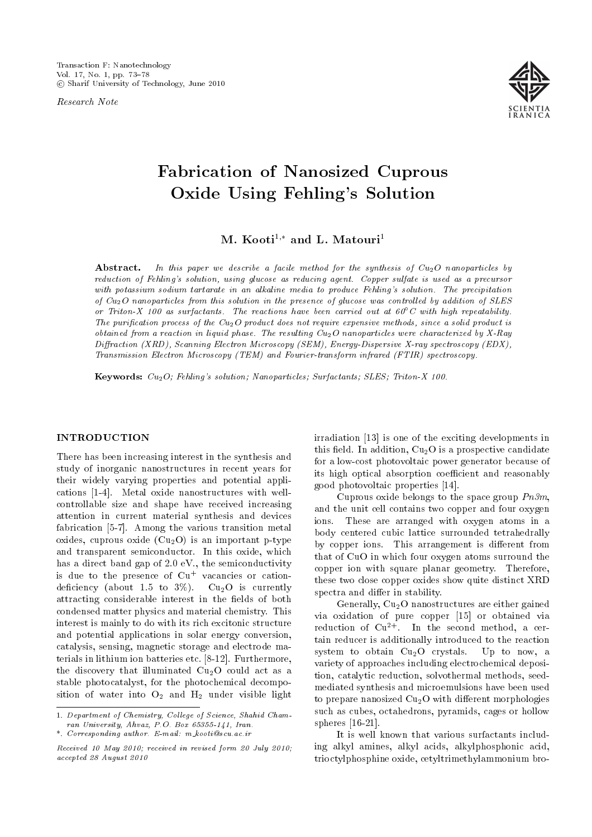Research Note



# Fabrication of Nanosized Cuprous Oxide Using Fehling's Solution

M. Kooti<sup>1,\*</sup> and L. Matouri<sup>1</sup>

**Abstract.** In this paper we describe a facile method for the synthesis of  $Cu<sub>2</sub>O$  nanoparticles by reduction of Fehling's solution, using glucose as reducing agent. Copper sulfate is used as a precursor with potassium sodium tartarate in an alkaline media to produce Fehling's solution. The precipitation of  $Cu<sub>2</sub>O$  nanoparticles from this solution in the presence of glucose was controlled by addition of SLES or Triton-X 100 as surfactants. The reactions have been carried out at  $60^{\circ}$ C with high repeatability. The purification process of the  $Cu<sub>2</sub>O$  product does not require expensive methods, since a solid product is obtained from a reaction in liquid phase. The resulting  $Cu<sub>2</sub>O$  nanoparticles were characterized by X-Ray Diffraction (XRD), Scanning Electron Microscopy (SEM), Energy-Dispersive X-ray spectroscopy (EDX), Transmission Electron Microscopy (TEM) and Fourier-transform infrared (FTIR) spectroscopy.

Keywords: Cu2O; Fehling's solution; Nanoparticles; Surfactants; SLES; Triton-X 100.

#### INTRODUCTION

There has been increasing interest in the synthesis and study of inorganic nanostructures in recent years for their widely varying properties and potential applications [1-4]. Metal oxide nanostructures with wellcontrollable size and shape have received increasing attention in current material synthesis and devices fabrication [5-7]. Among the various transition metal oxides, cuprous oxide  $(Cu_2O)$  is an important p-type and transparent semiconductor. In this oxide, which has a direct band gap of 2.0 eV., the semiconductivity is due to the presence of  $Cu<sup>+</sup>$  vacancies or cationdeficiency (about 1.5 to  $3\%$ ). Cu<sub>2</sub>O is currently attracting considerable interest in the fields of both condensed matter physics and material chemistry. This interest is mainly to do with its rich excitonic structure and potential applications in solar energy conversion, catalysis, sensing, magnetic storage and electrode materials in lithium ion batteries etc. [8-12]. Furthermore, the discovery that illuminated  $Cu<sub>2</sub>O$  could act as a stable photocatalyst, for the photochemical decomposition of water into  $O_2$  and  $H_2$  under visible light

irradiation [13] is one of the exciting developments in this field. In addition,  $Cu<sub>2</sub>O$  is a prospective candidate for a low-cost photovoltaic power generator because of its high optical absorption coefficient and reasonably good photovoltaic properties [14].

Cuprous oxide belongs to the space group  $Pn3m$ , and the unit cell contains two copper and four oxygen ions. These are arranged with oxygen atoms in a body centered cubic lattice surrounded tetrahedrally by copper ions. This arrangement is different from that of CuO in which four oxygen atoms surround the copper ion with square planar geometry. Therefore, these two close copper oxides show quite distinct XRD spectra and differ in stability.

Generally,  $Cu<sub>2</sub>O$  nanostructures are either gained via oxidation of pure copper [15] or obtained via reduction of  $Cu^{2+}$ . In the second method, a certain reducer is additionally introduced to the reaction system to obtain  $Cu<sub>2</sub>O$  crystals. Up to now, a variety of approaches including electrochemical deposition, catalytic reduction, solvothermal methods, seedmediated synthesis and microemulsions have been used to prepare nanosized  $Cu<sub>2</sub>O$  with different morphologies such as cubes, octahedrons, pyramids, cages or hollow spheres [16-21].

It is well known that various surfactants including alkyl amines, alkyl acids, alkylphosphonic acid, trioctylphosphine oxide, cetyltrimethylammonium bro-

<sup>1.</sup> Department of Chemistry, College of Science, Shahid Chamran University, Ahvaz, P.O. Box 65355-141, Iran.

<sup>\*.</sup> Corresponding author. E-mail: m kooti@scu.ac.ir

Received 10 May 2010; received in revised form 20 July 2010; accepted 28 August 2010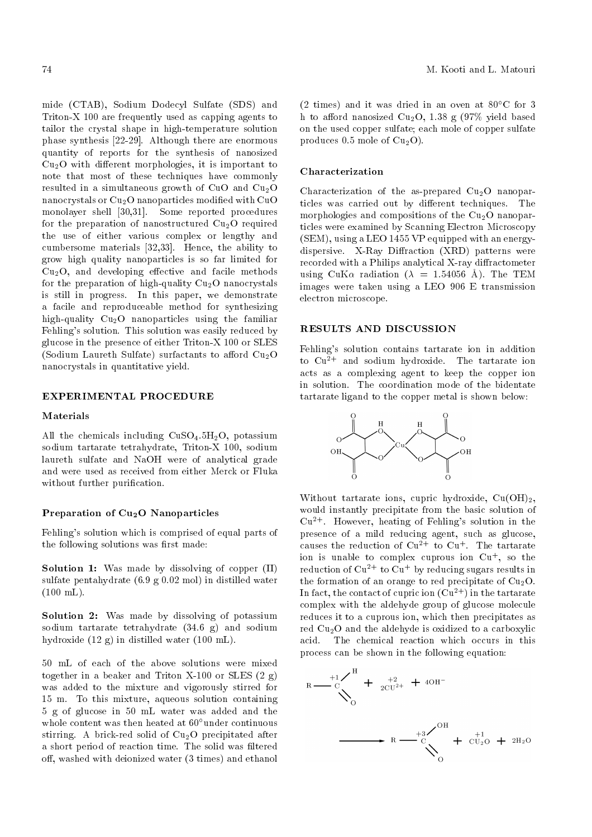mide (CTAB), Sodium Dodecyl Sulfate (SDS) and Triton-X 100 are frequently used as capping agents to tailor the crystal shape in high-temperature solution phase synthesis [22-29]. Although there are enormous quantity of reports for the synthesis of nanosized  $Cu<sub>2</sub>O$  with different morphologies, it is important to note that most of these techniques have commonly resulted in a simultaneous growth of CuO and  $Cu<sub>2</sub>O$ nanocrystals or  $Cu<sub>2</sub>O$  nanoparticles modified with CuO monolayer shell [30,31]. Some reported procedures for the preparation of nanostructured  $Cu<sub>2</sub>O$  required the use of either various complex or lengthy and cumbersome materials [32,33]. Hence, the ability to grow high quality nanoparticles is so far limited for  $Cu<sub>2</sub>O$ , and developing effective and facile methods for the preparation of high-quality  $Cu<sub>2</sub>O$  nanocrystals is still in progress. In this paper, we demonstrate a facile and reproduceable method for synthesizing high-quality  $Cu<sub>2</sub>O$  nanoparticles using the familiar Fehling's solution. This solution was easily reduced by glucose in the presence of either Triton-X 100 or SLES (Sodium Laureth Sulfate) surfactants to afford  $Cu<sub>2</sub>O$ nanocrystals in quantitative yield.

## EXPERIMENTAL PROCEDURE

#### Materials

All the chemicals including  $CuSO<sub>4</sub>$ .5H<sub>2</sub>O, potassium sodium tartarate tetrahydrate, Triton-X 100, sodium laureth sulfate and NaOH were of analytical grade and were used as received from either Merck or Fluka without further purification.

#### Preparation of Cu<sub>2</sub>O Nanoparticles

Fehling's solution which is comprised of equal parts of the following solutions was first made:

Solution 1: Was made by dissolving of copper (II) sulfate pentahydrate (6.9 g 0.02 mol) in distilled water  $(100 \text{ mL}).$ 

Solution 2: Was made by dissolving of potassium sodium tartarate tetrahydrate (34.6 g) and sodium hydroxide (12 g) in distilled water (100 mL).

50 mL of each of the above solutions were mixed together in a beaker and Triton X-100 or SLES  $(2 g)$ was added to the mixture and vigorously stirred for 15 m. To this mixture, aqueous solution containing 5 g of glucose in 50 mL water was added and the whole content was then heated at  $60^{\circ}$ under continuous stirring. A brick-red solid of  $Cu<sub>2</sub>O$  precipitated after a short period of reaction time. The solid was filtered off, washed with deionized water (3 times) and ethanol  $(2 \text{ times})$  and it was dried in an oven at 80 $\degree$ C for 3 h to afford nanosized Cu<sub>2</sub>O, 1.38 g (97% yield based on the used copper sulfate; each mole of copper sulfate produces 0.5 mole of  $Cu<sub>2</sub>O$ .

## Characterization

Characterization of the as-prepared  $Cu<sub>2</sub>O$  nanoparticles was carried out by different techniques. The morphologies and compositions of the  $Cu<sub>2</sub>O$  nanoparticles were examined by Scanning Electron Microscopy (SEM), using a LEO 1455 VP equipped with an energydispersive.  $X-Ray$  Diffraction  $(XRD)$  patterns were recorded with a Philips analytical X-ray diffractometer using CuK $\alpha$  radiation ( $\lambda = 1.54056$  Å). The TEM images were taken using a LEO 906 E transmission electron microscope.

#### RESULTS AND DISCUSSION

Fehling's solution contains tartarate ion in addition to  $Cu^{2+}$  and sodium hydroxide. The tartarate ion acts as a complexing agent to keep the copper ion in solution. The coordination mode of the bidentate tartarate ligand to the copper metal is shown below:



Without tartarate ions, cupric hydroxide,  $Cu(OH)_2$ , would instantly precipitate from the basic solution of  $Cu^{2+}$ . However, heating of Fehling's solution in the presence of a mild reducing agent, such as glucose, causes the reduction of  $Cu^{2+}$  to  $Cu^{+}$ . The tartarate ion is unable to complex cuprous ion  $Cu<sup>+</sup>$ , so the reduction of  $Cu^{2+}$  to  $Cu^{+}$  by reducing sugars results in the formation of an orange to red precipitate of  $Cu<sub>2</sub>O$ . In fact, the contact of cupric ion  $(\overline{\mathrm{Cu}}^{2+})$  in the tartarate complex with the aldehyde group of glucose molecule reduces it to a cuprous ion, which then precipitates as red Cu2O and the aldehyde is oxidized to a carboxylic acid. The chemical reaction which occurs in this process can be shown in the following equation:

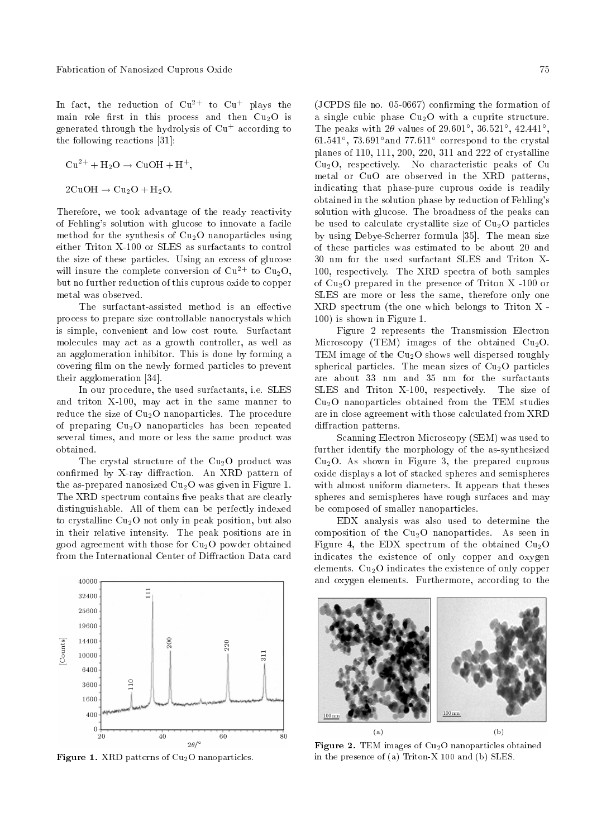In fact, the reduction of  $Cu^{2+}$  to  $Cu^{+}$  plays the main role first in this process and then  $Cu<sub>2</sub>O$  is generated through the hydrolysis of  $Cu<sup>+</sup>$  according to the following reactions [31]:

$$
Cu2+ + H2O \rightarrow CuOH + H+,
$$
  
2CuOH  $\rightarrow$  Cu<sub>2</sub>O + H<sub>2</sub>O.

Therefore, we took advantage of the ready reactivity of Fehling's solution with glucose to innovate a facile method for the synthesis of  $Cu<sub>2</sub>O$  nanoparticles using either Triton X-100 or SLES as surfactants to control the size of these particles. Using an excess of glucose will insure the complete conversion of  $Cu^{2+}$  to  $Cu_2O$ , but no further reduction of this cuprous oxide to copper metal was observed.

The surfactant-assisted method is an effective process to prepare size controllable nanocrystals which is simple, convenient and low cost route. Surfactant molecules may act as a growth controller, as well as an agglomeration inhibitor. This is done by forming a covering film on the newly formed particles to prevent their agglomeration [34].

In our procedure, the used surfactants, i.e. SLES and triton X-100, may act in the same manner to reduce the size of  $Cu<sub>2</sub>O$  nanoparticles. The procedure of preparing  $Cu<sub>2</sub>O$  nanoparticles has been repeated several times, and more or less the same product was obtained.

The crystal structure of the  $Cu<sub>2</sub>O$  product was confirmed by X-ray diffraction. An XRD pattern of the as-prepared nanosized  $Cu<sub>2</sub>O$  was given in Figure 1. The XRD spectrum contains five peaks that are clearly distinguishable. All of them can be perfectly indexed to crystalline  $Cu<sub>2</sub>O$  not only in peak position, but also in their relative intensity. The peak positions are in good agreement with those for Cu2O powder obtained from the International Center of Diffraction Data card



Figure 1. XRD patterns of  $Cu<sub>2</sub>O$  nanoparticles.

 $(JCPDS$  file no. 05-0667) confirming the formation of a single cubic phase  $Cu<sub>2</sub>O$  with a cuprite structure. The peaks with  $2\theta$  values of  $29.601^{\circ}$ ,  $36.521^{\circ}$ ,  $42.441^{\circ}$ ,  $61.541^{\circ}$ ,  $73.691^{\circ}$  and  $77.611^{\circ}$  correspond to the crystal planes of 110, 111, 200, 220, 311 and 222 of crystalline Cu2O, respectively. No characteristic peaks of Cu metal or CuO are observed in the XRD patterns, indicating that phase-pure cuprous oxide is readily obtained in the solution phase by reduction of Fehling's solution with glucose. The broadness of the peaks can be used to calculate crystallite size of  $Cu<sub>2</sub>O$  particles by using Debye-Scherrer formula [35]. The mean size of these particles was estimated to be about 20 and 30 nm for the used surfactant SLES and Triton X-100, respectively. The XRD spectra of both samples of  $Cu<sub>2</sub>O$  prepared in the presence of Triton X -100 or SLES are more or less the same, therefore only one XRD spectrum (the one which belongs to Triton X - 100) is shown in Figure 1.

Figure 2 represents the Transmission Electron Microscopy (TEM) images of the obtained  $Cu<sub>2</sub>O$ . TEM image of the  $Cu<sub>2</sub>O$  shows well dispersed roughly spherical particles. The mean sizes of  $Cu<sub>2</sub>O$  particles are about 33 nm and 35 nm for the surfactants SLES and Triton X-100, respectively. The size of Cu2O nanoparticles obtained from the TEM studies are in close agreement with those calculated from XRD diffraction patterns.

Scanning Electron Microscopy (SEM) was used to further identify the morphology of the as-synthesized  $Cu<sub>2</sub>O$ . As shown in Figure 3, the prepared cuprous oxide displays a lot of stacked spheres and semispheres with almost uniform diameters. It appears that theses spheres and semispheres have rough surfaces and may be composed of smaller nanoparticles.

EDX analysis was also used to determine the composition of the  $Cu<sub>2</sub>O$  nanoparticles. As seen in Figure 4, the EDX spectrum of the obtained  $Cu<sub>2</sub>O$ indicates the existence of only copper and oxygen elements.  $Cu<sub>2</sub>O$  indicates the existence of only copper and oxygen elements. Furthermore, according to the



Figure 2. TEM images of  $Cu<sub>2</sub>O$  nanoparticles obtained in the presence of (a) Triton-X 100 and (b) SLES.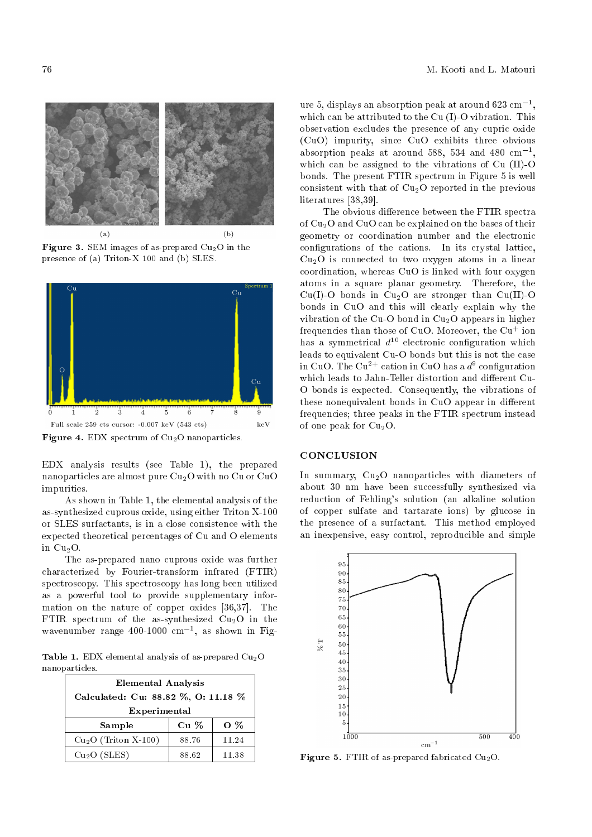

**Figure 3.** SEM images of as-prepared  $Cu<sub>2</sub>O$  in the presence of (a) Triton-X 100 and (b) SLES.



Figure 4. EDX spectrum of  $Cu<sub>2</sub>O$  nanoparticles.

EDX analysis results (see Table 1), the prepared nanoparticles are almost pure  $Cu<sub>2</sub>O$  with no Cu or CuO impurities.

As shown in Table 1, the elemental analysis of the as-synthesized cuprous oxide, using either Triton X-100 or SLES surfactants, is in a close consistence with the expected theoretical percentages of Cu and O elements in  $Cu<sub>2</sub>O$ .

The as-prepared nano cuprous oxide was further characterized by Fourier-transform infrared (FTIR) spectroscopy. This spectroscopy has long been utilized as a powerful tool to provide supplementary information on the nature of copper oxides [36,37]. The FTIR spectrum of the as-synthesized  $Cu<sub>2</sub>O$  in the wavenumber range  $400-1000$  cm<sup>-1</sup>, as shown in Fig-

Table 1. EDX elemental analysis of as-prepared  $Cu<sub>2</sub>O$ nanoparticles.

| <b>Elemental Analysis</b>           |        |            |
|-------------------------------------|--------|------------|
| Calculated: Cu: 88.82 %, O: 11.18 % |        |            |
| Experimental                        |        |            |
| Sample                              | $Cu$ % | $\Omega$ % |
| $Cu2O$ (Triton X-100)               | 88.76  | 11.24      |
| Cu <sub>2</sub> O(SLES)             | 88.62  | 11.38      |

ure 5, displays an absorption peak at around  $623\ \mathrm{cm^{-1}},$ which can be attributed to the Cu (I)-O vibration. This observation excludes the presence of any cupric oxide (CuO) impurity, since CuO exhibits three obvious absorption peaks at around 588, 534 and 480  $\mathrm{cm^{-1}},$ which can be assigned to the vibrations of Cu (II)-O bonds. The present FTIR spectrum in Figure 5 is well consistent with that of  $Cu<sub>2</sub>O$  reported in the previous literatures [38,39].

The obvious difference between the FTIR spectra of  $Cu<sub>2</sub>O$  and  $CuO$  can be explained on the bases of their geometry or coordination number and the electronic congurations of the cations. In its crystal lattice,  $Cu<sub>2</sub>O$  is connected to two oxygen atoms in a linear coordination, whereas CuO is linked with four oxygen atoms in a square planar geometry. Therefore, the Cu(I)-O bonds in Cu<sub>2</sub>O are stronger than Cu(II)-O bonds in CuO and this will clearly explain why the vibration of the Cu-O bond in  $Cu<sub>2</sub>O$  appears in higher frequencies than those of CuO. Moreover, the  $Cu<sup>+</sup>$  ion has a symmetrical  $d^{10}$  electronic configuration which leads to equivalent Cu-O bonds but this is not the case in CuO. The Cu<sup>2+</sup> cation in CuO has a  $d^9$  configuration which leads to Jahn-Teller distortion and different Cu-O bonds is expected. Consequently, the vibrations of these nonequivalent bonds in CuO appear in different frequencies; three peaks in the FTIR spectrum instead of one peak for  $Cu<sub>2</sub>O$ .

## **CONCLUSION**

In summary,  $Cu<sub>2</sub>O$  nanoparticles with diameters of about 30 nm have been successfully synthesized via reduction of Fehling's solution (an alkaline solution of copper sulfate and tartarate ions) by glucose in the presence of a surfactant. This method employed an inexpensive, easy control, reproducible and simple



Figure 5. FTIR of as-prepared fabricated  $Cu<sub>2</sub>O$ .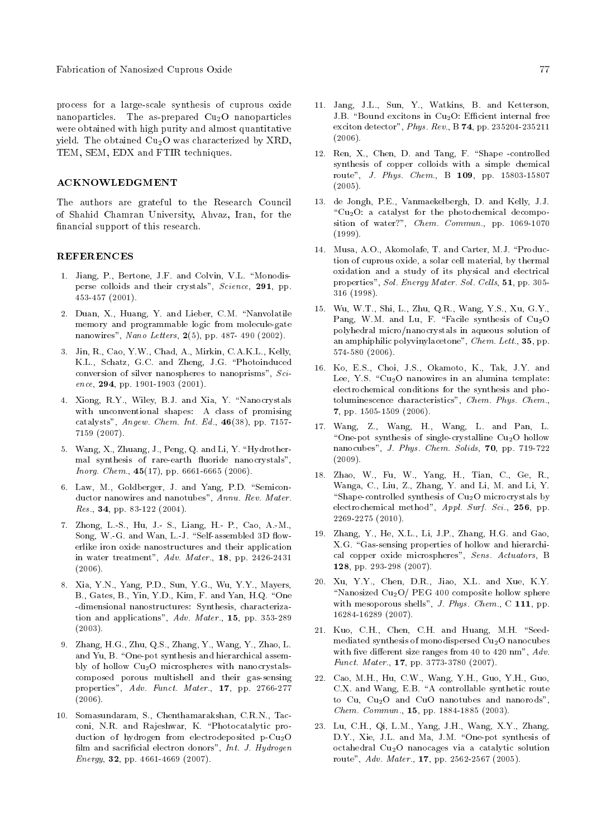Fabrication of Nanosized Cuprous Oxide 77

process for a large-scale synthesis of cuprous oxide nanoparticles. The as-prepared  $Cu<sub>2</sub>O$  nanoparticles were obtained with high purity and almost quantitative yield. The obtained  $Cu<sub>2</sub>O$  was characterized by XRD, TEM, SEM, EDX and FTIR techniques.

### ACKNOWLEDGMENT

The authors are grateful to the Research Council of Shahid Chamran University, Ahvaz, Iran, for the financial support of this research.

## REFERENCES

- 1. Jiang, P., Bertone, J.F. and Colvin, V.L. "Monodisperse colloids and their crystals", Science, 291, pp. 453-457 (2001).
- 2. Duan, X., Huang, Y. and Lieber, C.M. "Nanvolatile memory and programmable logic from molecule-gate nanowires", Nano Letters, 2(5), pp. 487- 490 (2002).
- 3. Jin, R., Cao, Y.W., Chad, A., Mirkin, C.A.K.L., Kelly, K.L., Schatz, G.C. and Zheng, J.G. \Photoinduced conversion of silver nanospheres to nanoprisms", Science, 294, pp. 1901-1903 (2001).
- 4. Xiong, R.Y., Wiley, B.J. and Xia, Y. "Nanocrystals with unconventional shapes: A class of promising catalysts", Angew. Chem. Int. Ed., 46(38), pp. 7157- 7159 (2007).
- 5. Wang, X., Zhuang, J., Peng, Q. and Li, Y. \Hydrothermal synthesis of rare-earth fluoride nanocrystals", *Inorg. Chem.*,  $45(17)$ , pp. 6661-6665 (2006).
- 6. Law, M., Goldberger, J. and Yang, P.D. "Semiconductor nanowires and nanotubes", Annu. Rev. Mater.  $Res.$ , 34, pp. 83-122 (2004).
- 7. Zhong, L.-S., Hu, J.- S., Liang, H.- P., Cao, A.-M., Song, W.-G. and Wan, L.-J. "Self-assembled 3D flowerlike iron oxide nanostructures and their application in water treatment", Adv. Mater., 18, pp. 2426-2431 (2006).
- 8. Xia, Y.N., Yang, P.D., Sun, Y.G., Wu, Y.Y., Mayers, B., Gates, B., Yin, Y.D., Kim, F. and Yan, H.Q. "One -dimensional nanostructures: Synthesis, characterization and applications", Adv. Mater., 15, pp. 353-289 (2003).
- 9. Zhang, H.G., Zhu, Q.S., Zhang, Y., Wang, Y., Zhao, L. and Yu, B. "One-pot synthesis and hierarchical assembly of hollow  $Cu<sub>2</sub>O$  microspheres with nanocrystalscomposed porous multishell and their gas-sensing properties", Adv. Funct. Mater., 17, pp. 2766-277 (2006).
- 10. Somasundaram, S., Chenthamarakshan, C.R.N., Tacconi, N.R. and Rajeshwar, K. \Photocatalytic production of hydrogen from electrodeposited p-Cu2O film and sacrificial electron donors", Int. J. Hydrogen Energy, 32, pp. 4661-4669  $(2007)$ .
- 11. Jang, J.L., Sun, Y., Watkins, B. and Ketterson, J.B. "Bound excitons in  $Cu<sub>2</sub>O$ : Efficient internal free exciton detector", Phys. Rev., B 74, pp. 235204-235211 (2006).
- 12. Ren, X., Chen, D. and Tang, F. "Shape -controlled synthesis of copper colloids with a simple chemical route", J. Phys. Chem., B 109, pp. 15803-15807  $(2005).$
- 13. de Jongh, P.E., Vanmaekelbergh, D. and Kelly, J.J. " $Cu<sub>2</sub>O$ : a catalyst for the photochemical decomposition of water?", Chem. Commun., pp. 1069-1070 (1999).
- 14. Musa, A.O., Akomolafe, T. and Carter, M.J. \Production of cuprous oxide, a solar cell material, by thermal oxidation and a study of its physical and electrical properties", Sol. Energy Mater. Sol. Cells, 51, pp. 305- 316 (1998).
- 15. Wu, W.T., Shi, L., Zhu, Q.R., Wang, Y.S., Xu, G.Y., Pang, W.M. and Lu, F. "Facile synthesis of  $Cu<sub>2</sub>O$ polyhedral micro/nanocrystals in aqueous solution of an amphiphilic polyvinylacetone", Chem. Lett., 35, pp. 574-580 (2006).
- 16. Ko, E.S., Choi, J.S., Okamoto, K., Tak, J.Y. and Lee, Y.S.  $\text{``Cu}_2\text{O}$  nanowires in an alumina template: electrochemical conditions for the synthesis and photoluminescence characteristics", Chem. Phys. Chem., 7, pp. 1505-1509 (2006).
- 17. Wang, Z., Wang, H., Wang, L. and Pan, L. "One-pot synthesis of single-crystalline  $Cu<sub>2</sub>O$  hollow nanocubes", J. Phys. Chem. Solids, 70, pp. 719-722 (2009).
- 18. Zhao, W., Fu, W., Yang, H., Tian, C., Ge, R., Wanga, C., Liu, Z., Zhang, Y. and Li, M. and Li, Y. "Shape-controlled synthesis of  $Cu<sub>2</sub>O$  microcrystals by electrochemical method", Appl. Surf. Sci., 256, pp. 2269-2275 (2010).
- 19. Zhang, Y., He, X.L., Li, J.P., Zhang, H.G. and Gao, X.G. "Gas-sensing properties of hollow and hierarchical copper oxide microspheres", Sens. Actuators, B 128, pp. 293-298 (2007).
- 20. Xu, Y.Y., Chen, D.R., Jiao, X.L. and Xue, K.Y. "Nanosized Cu<sub>2</sub>O/ PEG 400 composite hollow sphere with mesoporous shells", J. Phys. Chem., C 111, pp. 16284-16289 (2007).
- 21. Kuo, C.H., Chen, C.H. and Huang, M.H. "Seedmediated synthesis of monodispersed Cu2O nanocubes with five different size ranges from 40 to 420 nm",  $Adv.$ Funct. Mater., 17, pp. 3773-3780 (2007).
- 22. Cao, M.H., Hu, C.W., Wang, Y.H., Guo, Y.H., Guo, C.X. and Wang, E.B. "A controllable synthetic route to Cu, Cu2O and CuO nanotubes and nanorods", Chem. Commun., 15, pp. 1884-1885 (2003).
- 23. Lu, C.H., Qi, L.M., Yang, J.H., Wang, X.Y., Zhang, D.Y., Xie, J.L. and Ma, J.M. "One-pot synthesis of octahedral Cu2O nanocages via a catalytic solution route", Adv. Mater., 17, pp. 2562-2567 (2005).